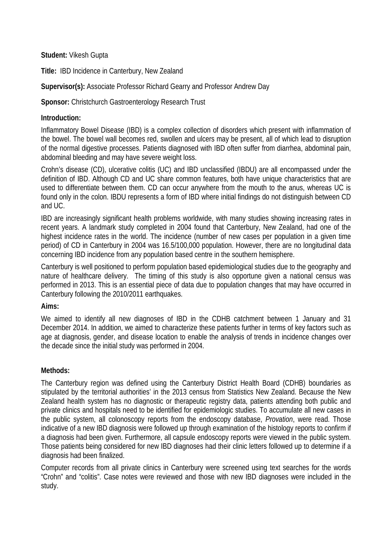**Student:** Vikesh Gupta

**Title:** IBD Incidence in Canterbury, New Zealand

**Supervisor(s):** Associate Professor Richard Gearry and Professor Andrew Day

**Sponsor:** Christchurch Gastroenterology Research Trust

# **Introduction:**

Inflammatory Bowel Disease (IBD) is a complex collection of disorders which present with inflammation of the bowel. The bowel wall becomes red, swollen and ulcers may be present, all of which lead to disruption of the normal digestive processes. Patients diagnosed with IBD often suffer from diarrhea, abdominal pain, abdominal bleeding and may have severe weight loss.

Crohn's disease (CD), ulcerative colitis (UC) and IBD unclassified (IBDU) are all encompassed under the definition of IBD. Although CD and UC share common features, both have unique characteristics that are used to differentiate between them. CD can occur anywhere from the mouth to the anus, whereas UC is found only in the colon. IBDU represents a form of IBD where initial findings do not distinguish between CD and UC.

IBD are increasingly significant health problems worldwide, with many studies showing increasing rates in recent years. A landmark study completed in 2004 found that Canterbury, New Zealand, had one of the highest incidence rates in the world. The incidence (number of new cases per population in a given time period) of CD in Canterbury in 2004 was 16.5/100,000 population. However, there are no longitudinal data concerning IBD incidence from any population based centre in the southern hemisphere.

Canterbury is well positioned to perform population based epidemiological studies due to the geography and nature of healthcare delivery. The timing of this study is also opportune given a national census was performed in 2013. This is an essential piece of data due to population changes that may have occurred in Canterbury following the 2010/2011 earthquakes.

## **Aims:**

We aimed to identify all new diagnoses of IBD in the CDHB catchment between 1 January and 31 December 2014. In addition, we aimed to characterize these patients further in terms of key factors such as age at diagnosis, gender, and disease location to enable the analysis of trends in incidence changes over the decade since the initial study was performed in 2004.

## **Methods:**

The Canterbury region was defined using the Canterbury District Health Board (CDHB) boundaries as stipulated by the territorial authorities' in the 2013 census from Statistics New Zealand. Because the New Zealand health system has no diagnostic or therapeutic registry data, patients attending both public and private clinics and hospitals need to be identified for epidemiologic studies. To accumulate all new cases in the public system, all colonoscopy reports from the endoscopy database, *Provation*, were read. Those indicative of a new IBD diagnosis were followed up through examination of the histology reports to confirm if a diagnosis had been given. Furthermore, all capsule endoscopy reports were viewed in the public system. Those patients being considered for new IBD diagnoses had their clinic letters followed up to determine if a diagnosis had been finalized.

Computer records from all private clinics in Canterbury were screened using text searches for the words "Crohn" and "colitis". Case notes were reviewed and those with new IBD diagnoses were included in the study.